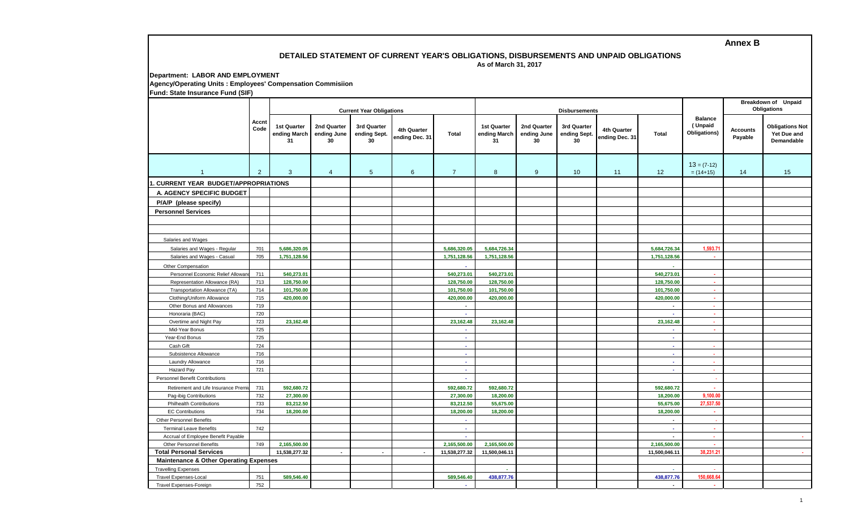### **DETAILED STATEMENT OF CURRENT YEAR'S OBLIGATIONS, DISBURSEMENTS AND UNPAID OBLIGATIONS As of March 31, 2017**

**Department: LABOR AND EMPLOYMENT Agency/Operating Units : Employees' Compensation Commisiion Fund: State Insurance Fund (SIF)**

|                                                   |                | <b>Current Year Obligations</b>   |                                  |                                   |                               |                |                                   |                                  | <b>Disbursements</b>              |                               | <b>Breakdown of Unpaid</b><br>Obligations |                                           |                            |                                                     |
|---------------------------------------------------|----------------|-----------------------------------|----------------------------------|-----------------------------------|-------------------------------|----------------|-----------------------------------|----------------------------------|-----------------------------------|-------------------------------|-------------------------------------------|-------------------------------------------|----------------------------|-----------------------------------------------------|
|                                                   | Accnt<br>Code  | 1st Quarter<br>ending March<br>31 | 2nd Quarter<br>ending June<br>30 | 3rd Quarter<br>ending Sept.<br>30 | 4th Quarter<br>ending Dec. 31 | <b>Total</b>   | 1st Quarter<br>ending March<br>31 | 2nd Quarter<br>ending June<br>30 | 3rd Quarter<br>ending Sept.<br>30 | 4th Quarter<br>ending Dec. 31 | <b>Total</b>                              | <b>Balance</b><br>(Unpaid<br>Obligations) | <b>Accounts</b><br>Payable | <b>Obligations Not</b><br>Yet Due and<br>Demandable |
| $\overline{1}$                                    | $\overline{2}$ | $\mathbf{3}$                      | $\overline{4}$                   | $5\phantom{.0}$                   | $6\overline{6}$               | $\overline{7}$ | 8                                 | 9                                | 10                                | 11                            | 12                                        | $13 = (7-12)$<br>$= (14+15)$              | 14                         | 15                                                  |
| <b>CURRENT YEAR BUDGET/APPROPRIATIONS</b>         |                |                                   |                                  |                                   |                               |                |                                   |                                  |                                   |                               |                                           |                                           |                            |                                                     |
| A. AGENCY SPECIFIC BUDGET                         |                |                                   |                                  |                                   |                               |                |                                   |                                  |                                   |                               |                                           |                                           |                            |                                                     |
|                                                   |                |                                   |                                  |                                   |                               |                |                                   |                                  |                                   |                               |                                           |                                           |                            |                                                     |
| P/A/P (please specify)                            |                |                                   |                                  |                                   |                               |                |                                   |                                  |                                   |                               |                                           |                                           |                            |                                                     |
| <b>Personnel Services</b>                         |                |                                   |                                  |                                   |                               |                |                                   |                                  |                                   |                               |                                           |                                           |                            |                                                     |
|                                                   |                |                                   |                                  |                                   |                               |                |                                   |                                  |                                   |                               |                                           |                                           |                            |                                                     |
|                                                   |                |                                   |                                  |                                   |                               |                |                                   |                                  |                                   |                               |                                           |                                           |                            |                                                     |
| Salaries and Wages                                |                |                                   |                                  |                                   |                               |                |                                   |                                  |                                   |                               |                                           |                                           |                            |                                                     |
| Salaries and Wages - Regular                      | 701            | 5,686,320.05                      |                                  |                                   |                               | 5,686,320.05   | 5,684,726.34                      |                                  |                                   |                               | 5,684,726.34                              | 1,593.71                                  |                            |                                                     |
| Salaries and Wages - Casual                       | 705            | 1,751,128.56                      |                                  |                                   |                               | 1,751,128.56   | 1,751,128.56                      |                                  |                                   |                               | 1,751,128.56                              | a.                                        |                            |                                                     |
| Other Compensation                                |                |                                   |                                  |                                   |                               | $\sim$         |                                   |                                  |                                   |                               | ÷.                                        |                                           |                            |                                                     |
| Personnel Economic Relief Allowar                 | 711            | 540,273.01                        |                                  |                                   |                               | 540,273.01     | 540,273.01                        |                                  |                                   |                               | 540,273.01                                | A.                                        |                            |                                                     |
| Representation Allowance (RA)                     | 713            | 128,750.00                        |                                  |                                   |                               | 128,750.00     | 128,750.00                        |                                  |                                   |                               | 128,750.00                                | ×.                                        |                            |                                                     |
| Transportation Allowance (TA)                     | 714            | 101,750.00                        |                                  |                                   |                               | 101,750.00     | 101,750.00                        |                                  |                                   |                               | 101,750.00                                | $\sim$                                    |                            |                                                     |
| Clothing/Uniform Allowance                        | 715            | 420,000.00                        |                                  |                                   |                               | 420,000.00     | 420,000.00                        |                                  |                                   |                               | 420,000.00                                | $\mathbf{r}$                              |                            |                                                     |
| Other Bonus and Allowances                        | 719            |                                   |                                  |                                   |                               | $\mathbf{r}$   |                                   |                                  |                                   |                               | $\sim$                                    | $\mathbf{r}$                              |                            |                                                     |
| Honoraria (BAC)                                   | 720            |                                   |                                  |                                   |                               | ä,             |                                   |                                  |                                   |                               | à.                                        | $\mathbf{r}$                              |                            |                                                     |
| Overtime and Night Pay                            | 723            | 23,162.48                         |                                  |                                   |                               | 23,162.48      | 23,162.48                         |                                  |                                   |                               | 23,162.48                                 | $\mathbf{r}$                              |                            |                                                     |
| Mid-Year Bonus                                    | 725            |                                   |                                  |                                   |                               | $\sim$         |                                   |                                  |                                   |                               | $\mathbf{r}$                              | ×.                                        |                            |                                                     |
| Year-End Bonus                                    | 725            |                                   |                                  |                                   |                               | $\sim$         |                                   |                                  |                                   |                               | $\mathbf{r}$                              |                                           |                            |                                                     |
| Cash Gift                                         | 724            |                                   |                                  |                                   |                               | $\sim$         |                                   |                                  |                                   |                               | $\sim$                                    | . .                                       |                            |                                                     |
| Subsistence Allowance                             | 716            |                                   |                                  |                                   |                               | $\sim$         |                                   |                                  |                                   |                               | х.                                        | $\sim$                                    |                            |                                                     |
| Laundry Allowance                                 | 716<br>721     |                                   |                                  |                                   |                               | a.             |                                   |                                  |                                   |                               | $\sim$<br>$\sim$                          | $\sim$                                    |                            |                                                     |
| Hazard Pay                                        |                |                                   |                                  |                                   |                               | $\sim$         |                                   |                                  |                                   |                               |                                           | $\sim$                                    |                            |                                                     |
| <b>Personnel Benefit Contributions</b>            |                |                                   |                                  |                                   |                               | ×.             |                                   |                                  |                                   |                               |                                           | ÷.                                        |                            |                                                     |
| Retirement and Life Insurance Premi               | 731            | 592,680.72                        |                                  |                                   |                               | 592,680.72     | 592,680.72                        |                                  |                                   |                               | 592,680.72                                |                                           |                            |                                                     |
| Pag-ibig Contributions                            | 732            | 27,300.00                         |                                  |                                   |                               | 27,300.00      | 18,200.00                         |                                  |                                   |                               | 18,200.00                                 | 9,100.00                                  |                            |                                                     |
| <b>Philhealth Contributions</b>                   | 733            | 83,212.50                         |                                  |                                   |                               | 83,212.50      | 55,675.00                         |                                  |                                   |                               | 55,675.00                                 | 27,537.50                                 |                            |                                                     |
| <b>EC Contributions</b>                           | 734            | 18,200.00                         |                                  |                                   |                               | 18,200.00      | 18,200.00                         |                                  |                                   |                               | 18,200.00                                 | ×.                                        |                            |                                                     |
| <b>Other Personnel Benefits</b>                   |                |                                   |                                  |                                   |                               | $\sim$         |                                   |                                  |                                   |                               | $\sim$                                    | $\sim$                                    |                            |                                                     |
| <b>Terminal Leave Benefits</b>                    | 742            |                                   |                                  |                                   |                               | $\sim$         |                                   |                                  |                                   |                               | $\omega$                                  | $\mathcal{L}_{\mathcal{A}}$               |                            |                                                     |
| Accrual of Employee Benefit Payable               |                |                                   |                                  |                                   |                               | A.             |                                   |                                  |                                   |                               | $\sim$                                    | $\Delta \phi$                             |                            | <b>Allen</b>                                        |
| <b>Other Personnel Benefits</b>                   | 749            | 2,165,500.00                      |                                  |                                   |                               | 2,165,500.00   | 2,165,500.00                      |                                  |                                   |                               | 2,165,500.00                              | $\sim$                                    |                            |                                                     |
| <b>Total Personal Services</b>                    |                | 11,538,277.32                     | $\sim$                           | $\overline{\phantom{a}}$          | $\sim$                        | 11,538,277.32  | 11,500,046.11                     |                                  |                                   |                               | 11,500,046.11                             | 38,231.21                                 |                            | $\sim 100$                                          |
| <b>Maintenance &amp; Other Operating Expenses</b> |                |                                   |                                  |                                   |                               |                |                                   |                                  |                                   |                               |                                           |                                           |                            |                                                     |
| <b>Travelling Expenses</b>                        |                |                                   |                                  |                                   |                               |                |                                   |                                  |                                   |                               | $\sim$                                    |                                           |                            |                                                     |
| <b>Travel Expenses-Local</b>                      | 751            | 589,546.40                        |                                  |                                   |                               | 589,546.40     | 438,877.76                        |                                  |                                   |                               | 438,877.76                                | 150,668.64                                |                            |                                                     |
| Travel Expenses-Foreign                           | 752            |                                   |                                  |                                   |                               | ×.             |                                   |                                  |                                   |                               | $\sim$                                    | ×.                                        |                            |                                                     |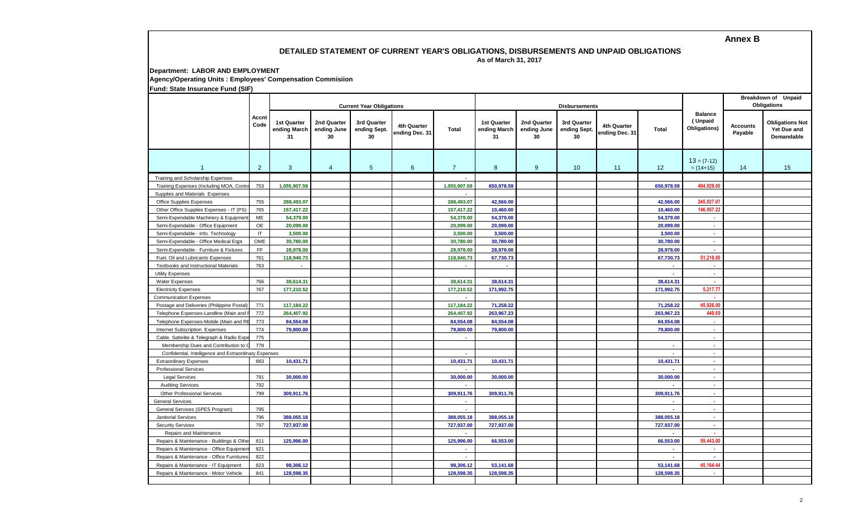### **DETAILED STATEMENT OF CURRENT YEAR'S OBLIGATIONS, DISBURSEMENTS AND UNPAID OBLIGATIONS As of March 31, 2017**

**Department: LABOR AND EMPLOYMENT**

**Agency/Operating Units : Employees' Compensation Commisiion**

**Fund: State Insurance Fund (SIF)**

|                                                       |                     |                                          |                                  | <b>Current Year Obligations</b>   |                               |                |                                          | <b>Disbursements</b>             |                                   |                               | Breakdown of Unpaid<br><b>Obligations</b> |                                           |                            |                                                     |
|-------------------------------------------------------|---------------------|------------------------------------------|----------------------------------|-----------------------------------|-------------------------------|----------------|------------------------------------------|----------------------------------|-----------------------------------|-------------------------------|-------------------------------------------|-------------------------------------------|----------------------------|-----------------------------------------------------|
|                                                       | Accnt<br>Code       | <b>1st Quarter</b><br>ending March<br>31 | 2nd Quarter<br>ending June<br>30 | 3rd Quarter<br>ending Sept.<br>30 | 4th Quarter<br>ending Dec. 31 | <b>Total</b>   | <b>1st Quarter</b><br>ending March<br>31 | 2nd Quarter<br>ending June<br>30 | 3rd Quarter<br>ending Sept.<br>30 | 4th Quarter<br>ending Dec. 31 | Total                                     | <b>Balance</b><br>(Unpaid<br>Obligations) | <b>Accounts</b><br>Payable | <b>Obligations Not</b><br>Yet Due and<br>Demandable |
| $\mathbf{1}$                                          | $\overline{2}$      | $\mathbf{3}$                             | $\overline{4}$                   | 5 <sup>5</sup>                    | 6                             | $\overline{7}$ | 8                                        | 9                                | 10                                | 11                            | 12                                        | $13 = (7-12)$<br>$= (14+15)$              | 14                         | 15                                                  |
| Training and Scholarship Expenses                     |                     |                                          |                                  |                                   |                               | $\sim$         |                                          |                                  |                                   |                               |                                           |                                           |                            |                                                     |
| Training Expenses (Including MOA, Contr               | 753                 | 1,055,907.59                             |                                  |                                   |                               | 1,055,907.59   | 650,978.59                               |                                  |                                   |                               | 650,978.59                                | 404.929.00                                |                            |                                                     |
| Supplies and Materials Expenses                       |                     |                                          |                                  |                                   |                               |                |                                          |                                  |                                   |                               |                                           |                                           |                            |                                                     |
| Office Supplies Expenses                              | 755                 | 288,493.07                               |                                  |                                   |                               | 288,493.07     | 42,566.00                                |                                  |                                   |                               | 42,566.00                                 | 245,927.07                                |                            |                                                     |
| Other Office Supplies Expenses - IT (PS)              | 765                 | 157,417.22                               |                                  |                                   |                               | 157,417.22     | 10,460.00                                |                                  |                                   |                               | 10,460.00                                 | 146,957.22                                |                            |                                                     |
| Semi-Expendable Machinery & Equipmen                  | ME                  | 54,379.00                                |                                  |                                   |                               | 54,379.00      | 54,379.00                                |                                  |                                   |                               | 54,379.00                                 | ×.                                        |                            |                                                     |
| Semi-Expendable - Office Equipment                    | OE                  | 20,099.00                                |                                  |                                   |                               | 20,099.00      | 20,099.00                                |                                  |                                   |                               | 20,099.00                                 | ×.                                        |                            |                                                     |
| Semi-Expendable - Info. Technology                    | IT                  | 3,500.00                                 |                                  |                                   |                               | 3,500.00       | 3,500.00                                 |                                  |                                   |                               | 3,500.00                                  | ×                                         |                            |                                                     |
| Semi-Expendable - Office Medical Eqpt.                | OME                 | 30,780.00                                |                                  |                                   |                               | 30,780.00      | 30,780.00                                |                                  |                                   |                               | 30,780.00                                 | ×                                         |                            |                                                     |
| Semi-Expendable - Furniture & Fixtures                | $\mathsf{FF}% _{0}$ | 28,978.00                                |                                  |                                   |                               | 28,978.00      | 28,978.00                                |                                  |                                   |                               | 28,978.00                                 |                                           |                            |                                                     |
| Fuel, Oil and Lubricants Expenses                     | 761                 | 118,940.73                               |                                  |                                   |                               | 118,940.73     | 67,730.73                                |                                  |                                   |                               | 67,730.73                                 | 51,210.00                                 |                            |                                                     |
| Textbooks and Instructional Materials                 | 763                 | $\overline{\phantom{a}}$                 |                                  |                                   |                               |                |                                          |                                  |                                   |                               | $\sim$                                    | ×.                                        |                            |                                                     |
| <b>Utility Expenses</b>                               |                     |                                          |                                  |                                   |                               |                |                                          |                                  |                                   |                               | $\sim$                                    | ÷.                                        |                            |                                                     |
| Water Expenses                                        | 766                 | 38,614.31                                |                                  |                                   |                               | 38,614.31      | 38,614.31                                |                                  |                                   |                               | 38,614.31                                 |                                           |                            |                                                     |
| <b>Electricity Expenses</b>                           | 767                 | 177,210.52                               |                                  |                                   |                               | 177,210.52     | 171,992.75                               |                                  |                                   |                               | 171,992.75                                | 5,217.77                                  |                            |                                                     |
| <b>Communication Expenses</b>                         |                     |                                          |                                  |                                   |                               |                |                                          |                                  |                                   |                               |                                           |                                           |                            |                                                     |
| Postage and Deliveries (Philippine Postal)            | 771                 | 117,184.22                               |                                  |                                   |                               | 117,184.22     | 71,258.22                                |                                  |                                   |                               | 71,258.22                                 | 45.926.00                                 |                            |                                                     |
| Telephone Expenses-Landline (Main and                 | 772                 | 264,407.92                               |                                  |                                   |                               | 264,407.92     | 263,967.23                               |                                  |                                   |                               | 263,967.23                                | 440.69                                    |                            |                                                     |
| Telephone Expenses-Mobile (Main and R                 | 773                 | 84,554.08                                |                                  |                                   |                               | 84.554.08      | 84,554.08                                |                                  |                                   |                               | 84,554.08                                 | $\mathbf{r}$                              |                            |                                                     |
| Internet Subscription Expenses                        | 774                 | 79,800.00                                |                                  |                                   |                               | 79,800.00      | 79,800.00                                |                                  |                                   |                               | 79,800.00                                 | ×                                         |                            |                                                     |
| Cable, Sattelite & Telegraph & Radio Exp              | 775                 |                                          |                                  |                                   |                               | $\sim$         |                                          |                                  |                                   |                               |                                           | $\sim$                                    |                            |                                                     |
| Membership Dues and Contribution to                   | 778                 |                                          |                                  |                                   |                               |                |                                          |                                  |                                   |                               | $\blacksquare$                            | $\sim$                                    |                            |                                                     |
| Confidential, Intelligence and Extraordinary Expenses |                     |                                          |                                  |                                   |                               | $\sim$         |                                          |                                  |                                   |                               | $\sim$                                    | $\mathcal{L}^{\mathcal{L}}$               |                            |                                                     |
| <b>Extraordinary Expenses</b>                         | 883                 | 10,431.71                                |                                  |                                   |                               | 10,431.71      | 10,431.71                                |                                  |                                   |                               | 10,431.71                                 | ¥.                                        |                            |                                                     |
| <b>Professional Services</b>                          |                     |                                          |                                  |                                   |                               | ×.             |                                          |                                  |                                   |                               | $\sim$                                    | $\sim$                                    |                            |                                                     |
| <b>Legal Services</b>                                 | 791                 | 30,000.00                                |                                  |                                   |                               | 30,000.00      | 30,000.00                                |                                  |                                   |                               | 30,000.00                                 | $\sim$                                    |                            |                                                     |
| <b>Auditing Services</b>                              | 792                 |                                          |                                  |                                   |                               | $\sim$         |                                          |                                  |                                   |                               | $\sim$                                    | $\sim$                                    |                            |                                                     |
| <b>Other Professional Services</b>                    | 799                 | 309,911.76                               |                                  |                                   |                               | 309,911.76     | 309,911.76                               |                                  |                                   |                               | 309,911.76                                | A.                                        |                            |                                                     |
| <b>General Services</b>                               |                     |                                          |                                  |                                   |                               | $\sim$         |                                          |                                  |                                   |                               | $\sim$                                    | ×.                                        |                            |                                                     |
| General Services (SPES Program)                       | 795                 |                                          |                                  |                                   |                               | $\sim$         |                                          |                                  |                                   |                               | $\sim$                                    | ×.                                        |                            |                                                     |
| <b>Janitorial Services</b>                            | 796                 | 388,055.18                               |                                  |                                   |                               | 388,055.18     | 388,055.18                               |                                  |                                   |                               | 388,055.18                                | ×.                                        |                            |                                                     |
| <b>Security Services</b>                              | 797                 | 727,937.00                               |                                  |                                   |                               | 727,937.00     | 727,937.00                               |                                  |                                   |                               | 727,937.00                                | ×.                                        |                            |                                                     |
| Repairs and Maintenance                               |                     |                                          |                                  |                                   |                               |                |                                          |                                  |                                   |                               |                                           | ×.                                        |                            |                                                     |
| Repairs & Maintenance - Buildings & Oth               | 811                 | 125,996.00                               |                                  |                                   |                               | 125,996.00     | 66,553.00                                |                                  |                                   |                               | 66.553.00                                 | 59.443.00                                 |                            |                                                     |
| Repairs & Maintenance - Office Equipme                | 821                 |                                          |                                  |                                   |                               | ÷.             |                                          |                                  |                                   |                               | $\sim$                                    | ×.                                        |                            |                                                     |
| Repairs & Maintenance - Office Furniture              | 822                 |                                          |                                  |                                   |                               | ×.             |                                          |                                  |                                   |                               | $\sim$                                    | $\mathbf{r}$                              |                            |                                                     |
| Repairs & Maintenance - IT Equipment                  | 823                 | 98,306.12                                |                                  |                                   |                               | 98.306.12      | 53,141.68                                |                                  |                                   |                               | 53,141.68                                 | 45,164.44                                 |                            |                                                     |
| Repairs & Maintenance - Motor Vehicle                 | 841                 | 128,598.35                               |                                  |                                   |                               | 128.598.35     | 128,598.35                               |                                  |                                   |                               | 128.598.35                                |                                           |                            |                                                     |
|                                                       |                     |                                          |                                  |                                   |                               |                |                                          |                                  |                                   |                               |                                           |                                           |                            |                                                     |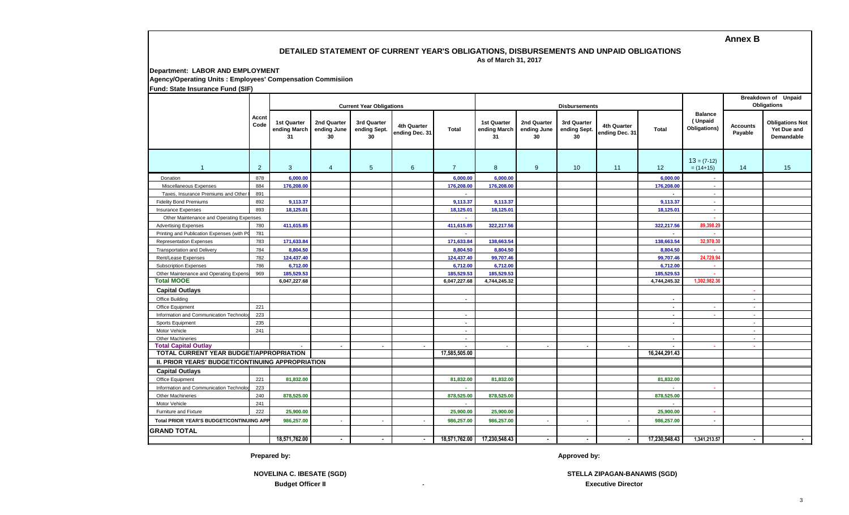## **DETAILED STATEMENT OF CURRENT YEAR'S OBLIGATIONS, DISBURSEMENTS AND UNPAID OBLIGATIONS As of March 31, 2017**

**Department: LABOR AND EMPLOYMENT**

**Agency/Operating Units : Employees' Compensation Commisiion**

**Fund: State Insurance Fund (SIF)**

|                                                  |                | <b>Current Year Obligations</b>   |                                  |                                   |                               |                          |                                          |                                  | <b>Disbursements</b>              |                               | Breakdown of Unpaid<br><b>Obligations</b> |                                           |                     |                                                     |
|--------------------------------------------------|----------------|-----------------------------------|----------------------------------|-----------------------------------|-------------------------------|--------------------------|------------------------------------------|----------------------------------|-----------------------------------|-------------------------------|-------------------------------------------|-------------------------------------------|---------------------|-----------------------------------------------------|
|                                                  | Accnt<br>Code  | 1st Quarter<br>ending March<br>31 | 2nd Quarter<br>ending June<br>30 | 3rd Quarter<br>ending Sept.<br>30 | 4th Quarter<br>ending Dec. 31 | Total                    | <b>1st Quarter</b><br>ending March<br>31 | 2nd Quarter<br>ending June<br>30 | 3rd Quarter<br>ending Sept.<br>30 | 4th Quarter<br>ending Dec. 31 | <b>Total</b>                              | <b>Balance</b><br>(Unpaid<br>Obligations) | Accounts<br>Payable | <b>Obligations Not</b><br>Yet Due and<br>Demandable |
|                                                  | $\overline{2}$ | 3                                 | $\overline{4}$                   | $5\overline{)}$                   | 6                             | $\overline{7}$           | 8                                        | 9                                | 10 <sup>°</sup>                   | 11                            | 12                                        | $13 = (7-12)$<br>$= (14+15)$              | 14                  | 15                                                  |
| Donation                                         | 878            | 6,000.00                          |                                  |                                   |                               | 6,000.00                 | 6,000.00                                 |                                  |                                   |                               | 6,000.00                                  | ×.                                        |                     |                                                     |
| Miscellaneous Expenses                           | 884            | 176,208.00                        |                                  |                                   |                               | 176,208.00               | 176,208.00                               |                                  |                                   |                               | 176,208.00                                | ×                                         |                     |                                                     |
| Taxes, Insurance Premiums and Other              | 891            |                                   |                                  |                                   |                               | $\sim$                   |                                          |                                  |                                   |                               | $\blacksquare$                            | ×.                                        |                     |                                                     |
| <b>Fidelity Bond Premiums</b>                    | 892            | 9,113.37                          |                                  |                                   |                               | 9,113.37                 | 9,113.37                                 |                                  |                                   |                               | 9,113.37                                  | ×.                                        |                     |                                                     |
| <b>Insurance Expenses</b>                        | 893            | 18,125.01                         |                                  |                                   |                               | 18,125.01                | 18,125.01                                |                                  |                                   |                               | 18,125.01                                 | ×.                                        |                     |                                                     |
| Other Maintenance and Operating Expenses         |                |                                   |                                  |                                   |                               | $\sim$                   |                                          |                                  |                                   |                               |                                           | ×.                                        |                     |                                                     |
| <b>Advertising Expenses</b>                      | 780            | 411,615.85                        |                                  |                                   |                               | 411,615.85               | 322,217.56                               |                                  |                                   |                               | 322,217.56                                | 89,398.29                                 |                     |                                                     |
| Printing and Publication Expenses (with P        | 781            |                                   |                                  |                                   |                               | $\sim$                   |                                          |                                  |                                   |                               | ×.                                        |                                           |                     |                                                     |
| <b>Representation Expenses</b>                   | 783            | 171,633.84                        |                                  |                                   |                               | 171,633.84               | 138,663.54                               |                                  |                                   |                               | 138,663.54                                | 32,970.3                                  |                     |                                                     |
| <b>Transportation and Delivery</b>               | 784            | 8,804.50                          |                                  |                                   |                               | 8,804.50                 | 8,804.50                                 |                                  |                                   |                               | 8,804.50                                  |                                           |                     |                                                     |
| Rent/Lease Expenses                              | 782            | 124,437.40                        |                                  |                                   |                               | 124,437.40               | 99,707.46                                |                                  |                                   |                               | 99,707.46                                 | 24,729.94                                 |                     |                                                     |
| <b>Subscription Expenses</b>                     | 786            | 6,712.00                          |                                  |                                   |                               | 6,712.00                 | 6,712.00                                 |                                  |                                   |                               | 6,712.00                                  |                                           |                     |                                                     |
| Other Maintenance and Operating Expens           | 969            | 185,529.53                        |                                  |                                   |                               | 185,529.53               | 185,529.53                               |                                  |                                   |                               | 185,529.53                                | ×.                                        |                     |                                                     |
| <b>Total MOOE</b>                                |                | 6,047,227.68                      |                                  |                                   |                               | 6,047,227.68             | 4,744,245.32                             |                                  |                                   |                               | 4,744,245.32                              | 1,302,982.3                               |                     |                                                     |
| <b>Capital Outlays</b>                           |                |                                   |                                  |                                   |                               |                          |                                          |                                  |                                   |                               |                                           |                                           |                     |                                                     |
| Office Building                                  |                |                                   |                                  |                                   |                               | $\overline{\phantom{a}}$ |                                          |                                  |                                   |                               | $\sim$                                    |                                           | . н.                |                                                     |
| Office Equipment                                 | 221            |                                   |                                  |                                   |                               |                          |                                          |                                  |                                   |                               | $\sim$                                    | ×.                                        | ×.                  |                                                     |
| Information and Communication Technolo           | 223            |                                   |                                  |                                   |                               | $\blacksquare$           |                                          |                                  |                                   |                               | $\sim$                                    | ×.                                        | ×.                  |                                                     |
| Sports Equipment                                 | 235            |                                   |                                  |                                   |                               | $\overline{\phantom{a}}$ |                                          |                                  |                                   |                               | $\overline{a}$                            |                                           | ×.                  |                                                     |
| Motor Vehicle                                    | 241            |                                   |                                  |                                   |                               | $\blacksquare$           |                                          |                                  |                                   |                               |                                           |                                           | ×.                  |                                                     |
| <b>Other Machineries</b>                         |                |                                   |                                  |                                   |                               | $\overline{a}$           |                                          |                                  |                                   |                               | $\sim$                                    |                                           | . п.                |                                                     |
| <b>Total Capital Outlay</b>                      |                | $\sim$                            | $\sim$                           | $\blacksquare$                    | $\sim$                        | $\overline{\phantom{a}}$ | o.                                       | $\overline{\phantom{a}}$         | $\overline{\phantom{a}}$          | $\sim$                        | $\overline{\phantom{a}}$                  | ×                                         | ×.                  |                                                     |
| <b>TOTAL CURRENT YEAR BUDGET/APPROPRIATION</b>   |                |                                   |                                  |                                   |                               | 17,585,505.00            |                                          |                                  |                                   |                               | 16,244,291.43                             |                                           |                     |                                                     |
| II. PRIOR YEARS' BUDGET/CONTINUING APPROPRIATION |                |                                   |                                  |                                   |                               |                          |                                          |                                  |                                   |                               |                                           |                                           |                     |                                                     |
| <b>Capital Outlays</b>                           |                |                                   |                                  |                                   |                               |                          |                                          |                                  |                                   |                               |                                           |                                           |                     |                                                     |
| Office Equipment                                 | 221            | 81,832.00                         |                                  |                                   |                               | 81,832.00                | 81,832.00                                |                                  |                                   |                               | 81,832.00                                 |                                           |                     |                                                     |
| Information and Communication Technolo           | 223            |                                   |                                  |                                   |                               |                          |                                          |                                  |                                   |                               |                                           |                                           |                     |                                                     |
| <b>Other Machineries</b>                         | 240            | 878,525.00                        |                                  |                                   |                               | 878,525.00               | 878,525.00                               |                                  |                                   |                               | 878,525.00                                |                                           |                     |                                                     |
| Motor Vehicle                                    | 241            |                                   |                                  |                                   |                               |                          |                                          |                                  |                                   |                               |                                           |                                           |                     |                                                     |
| Furniture and Fixture                            | 222            | 25,900.00                         |                                  |                                   |                               | 25,900.00                | 25,900.00                                |                                  |                                   |                               | 25,900.00                                 | ×.                                        |                     |                                                     |
| Total PRIOR YEAR'S BUDGET/CONTINUING APP         |                | 986,257.00                        | $\sim$                           | $\sim$                            |                               | 986,257.00               | 986,257.00                               |                                  |                                   | ×.                            | 986,257.00                                | ×.                                        |                     |                                                     |
| <b>GRAND TOTAL</b>                               |                |                                   |                                  |                                   |                               |                          |                                          |                                  |                                   |                               |                                           |                                           |                     |                                                     |
|                                                  |                | 18,571,762.00                     | $\blacksquare$                   | . .                               | $\sim$                        |                          | 18,571,762.00 17,230,548.43              | $\blacksquare$                   | $\sim$                            | $\sim$                        | 17,230,548.43                             | 1,341,213.57                              | $\sim$              | $\sim$                                              |

**Prepared by: Approved by:**

 **STELLA ZIPAGAN-BANAWIS (SGD) Executive Director**